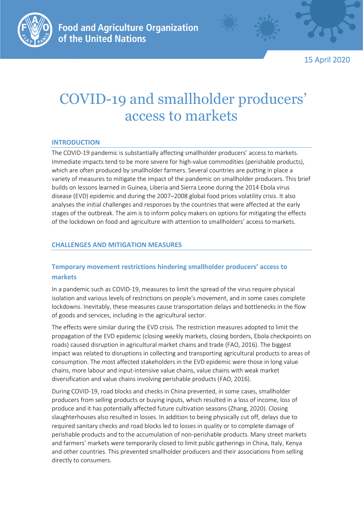



15 April 2020

# COVID-19 and smallholder producers' access to markets

## **INTRODUCTION**

The COVID-19 pandemic is substantially affecting smallholder producers' access to markets. Immediate impacts tend to be more severe for high-value commodities (perishable products), which are often produced by smallholder farmers. Several countries are putting in place a variety of measures to mitigate the impact of the pandemic on smallholder producers. This brief builds on lessons learned in Guinea, Liberia and Sierra Leone during the 2014 Ebola virus disease (EVD) epidemic and during the 2007–2008 global food prices volatility crisis. It also analyses the initial challenges and responses by the countries that were affected at the early stages of the outbreak. The aim is to inform policy makers on options for mitigating the effects of the lockdown on food and agriculture with attention to smallholders' access to markets.

## **CHALLENGES AND MITIGATION MEASURES**

# **Temporary movement restrictions hindering smallholder producers' access to markets**

In a pandemic such as COVID-19, measures to limit the spread of the virus require physical isolation and various levels of restrictions on people's movement, and in some cases complete lockdowns. Inevitably, these measures cause transportation delays and bottlenecks in the flow of goods and services, including in the agricultural sector.

The effects were similar during the EVD crisis. The restriction measures adopted to limit the propagation of the EVD epidemic (closing weekly markets, closing borders, Ebola checkpoints on roads) caused disruption in agricultural market chains and trade (FAO, 2016). The biggest impact was related to disruptions in collecting and transporting agricultural products to areas of consumption. The most affected stakeholders in the EVD epidemic were those in long value chains, more labour and input-intensive value chains, value chains with weak market diversification and value chains involving perishable products (FAO, 2016).

During COVID-19, road blocks and checks in China prevented, in some cases, smallholder producers from selling products or buying inputs, which resulted in a loss of income, loss of produce and it has potentially affected future cultivation seasons (Zhang, 2020). Closing slaughterhouses also resulted in losses. In addition to being physically cut off, delays due to required sanitary checks and road blocks led to losses in quality or to complete damage of perishable products and to the accumulation of non-perishable products. Many street markets and farmers' markets were temporarily closed to limit public gatherings in China, Italy, Kenya and other countries. This prevented smallholder producers and their associations from selling directly to consumers.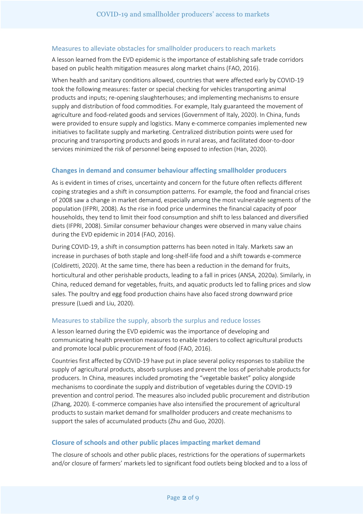### Measures to alleviate obstacles for smallholder producers to reach markets

A lesson learned from the EVD epidemic is the importance of establishing safe trade corridors based on public health mitigation measures along market chains (FAO, 2016).

When health and sanitary conditions allowed, countries that were affected early by COVID-19 took the following measures: faster or special checking for vehicles transporting animal products and inputs; re-opening slaughterhouses; and implementing mechanisms to ensure supply and distribution of food commodities. For example, Italy guaranteed the movement of agriculture and food-related goods and services (Government of Italy, 2020). In China, funds were provided to ensure supply and logistics. Many e-commerce companies implemented new initiatives to facilitate supply and marketing. Centralized distribution points were used for procuring and transporting products and goods in rural areas, and facilitated door-to-door services minimized the risk of personnel being exposed to infection (Han, 2020).

#### **Changes in demand and consumer behaviour affecting smallholder producers**

As is evident in times of crises, uncertainty and concern for the future often reflects different coping strategies and a shift in consumption patterns. For example, the food and financial crises of 2008 saw a change in market demand, especially among the most vulnerable segments of the population (IFPRI, 2008). As the rise in food price undermines the financial capacity of poor households, they tend to limit their food consumption and shift to less balanced and diversified diets (IFPRI, 2008). Similar consumer behaviour changes were observed in many value chains during the EVD epidemic in 2014 (FAO, 2016).

During COVID-19, a shift in consumption patterns has been noted in Italy. Markets saw an increase in purchases of both staple and long-shelf-life food and a shift towards e-commerce (Coldiretti, 2020). At the same time, there has been a reduction in the demand for fruits, horticultural and other perishable products, leading to a fall in prices (ANSA, 2020a). Similarly, in China, reduced demand for vegetables, fruits, and aquatic products led to falling prices and slow sales. The poultry and egg food production chains have also faced strong downward price pressure (Luedi and Liu, 2020).

#### Measures to stabilize the supply, absorb the surplus and reduce losses

A lesson learned during the EVD epidemic was the importance of developing and communicating health prevention measures to enable traders to collect agricultural products and promote local public procurement of food (FAO, 2016).

Countries first affected by COVID-19 have put in place several policy responses to stabilize the supply of agricultural products, absorb surpluses and prevent the loss of perishable products for producers. In China, measures included promoting the "vegetable basket" policy alongside mechanisms to coordinate the supply and distribution of vegetables during the COVID-19 prevention and control period. The measures also included public procurement and distribution (Zhang, 2020). E-commerce companies have also intensified the procurement of agricultural products to sustain market demand for smallholder producers and create mechanisms to support the sales of accumulated products (Zhu and Guo, 2020).

#### **Closure of schools and other public places impacting market demand**

The closure of schools and other public places, restrictions for the operations of supermarkets and/or closure of farmers' markets led to significant food outlets being blocked and to a loss of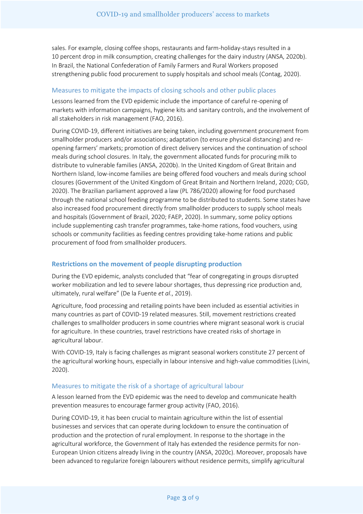sales. For example, closing coffee shops, restaurants and farm-holiday-stays resulted in a 10 percent drop in milk consumption, creating challenges for the dairy industry (ANSA, 2020b). In Brazil, the National Confederation of Family Farmers and Rural Workers proposed strengthening public food procurement to supply hospitals and school meals (Contag, 2020).

#### Measures to mitigate the impacts of closing schools and other public places

Lessons learned from the EVD epidemic include the importance of careful re-opening of markets with information campaigns, hygiene kits and sanitary controls, and the involvement of all stakeholders in risk management (FAO, 2016).

During COVID-19, different initiatives are being taken, including government procurement from smallholder producers and/or associations; adaptation (to ensure physical distancing) and reopening farmers' markets; promotion of direct delivery services and the continuation of school meals during school closures. In Italy, the government allocated funds for procuring milk to distribute to vulnerable families (ANSA, 2020b). In the United Kingdom of Great Britain and Northern Island, low-income families are being offered food vouchers and meals during school closures (Government of the United Kingdom of Great Britain and Northern Ireland, 2020; CGD, 2020). The Brazilian parliament approved a law (PL 786/2020) allowing for food purchased through the national school feeding programme to be distributed to students. Some states have also increased food procurement directly from smallholder producers to supply school meals and hospitals (Government of Brazil, 2020; FAEP, 2020). In summary, some policy options include supplementing cash transfer programmes, take-home rations, food vouchers, using schools or community facilities as feeding centres providing take-home rations and public procurement of food from smallholder producers.

## **Restrictions on the movement of people disrupting production**

During the EVD epidemic, analysts concluded that "fear of congregating in groups disrupted worker mobilization and led to severe labour shortages, thus depressing rice production and, ultimately, rural welfare" (De la Fuente *et al*., 2019).

Agriculture, food processing and retailing points have been included as essential activities in many countries as part of COVID-19 related measures. Still, movement restrictions created challenges to smallholder producers in some countries where migrant seasonal work is crucial for agriculture. In these countries, travel restrictions have created risks of shortage in agricultural labour.

With COVID-19, Italy is facing challenges as migrant seasonal workers constitute 27 percent of the agricultural working hours, especially in labour intensive and high-value commodities (Livini, 2020).

#### Measures to mitigate the risk of a shortage of agricultural labour

A lesson learned from the EVD epidemic was the need to develop and communicate health prevention measures to encourage farmer group activity (FAO, 2016).

During COVID-19, it has been crucial to maintain agriculture within the list of essential businesses and services that can operate during lockdown to ensure the continuation of production and the protection of rural employment. In response to the shortage in the agricultural workforce, the Government of Italy has extended the residence permits for non-European Union citizens already living in the country (ANSA, 2020c). Moreover, proposals have been advanced to regularize foreign labourers without residence permits, simplify agricultural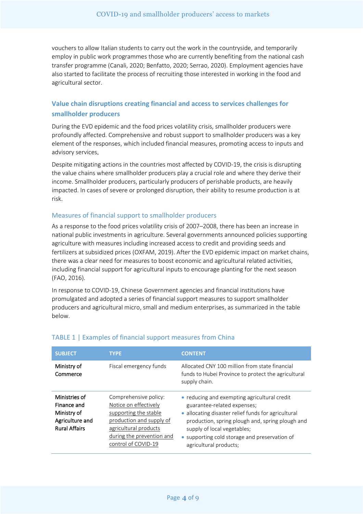vouchers to allow Italian students to carry out the work in the countryside, and temporarily employ in public work programmes those who are currently benefiting from the national cash transfer programme (Canali, 2020; Benfatto, 2020; Serrao, 2020). Employment agencies have also started to facilitate the process of recruiting those interested in working in the food and agricultural sector.

## **Value chain disruptions creating financial and access to services challenges for smallholder producers**

During the EVD epidemic and the food prices volatility crisis, smallholder producers were profoundly affected. Comprehensive and robust support to smallholder producers was a key element of the responses, which included financial measures, promoting access to inputs and advisory services.

Despite mitigating actions in the countries most affected by COVID-19, the crisis is disrupting the value chains where smallholder producers play a crucial role and where they derive their income. Smallholder producers, particularly producers of perishable products, are heavily impacted. In cases of severe or prolonged disruption, their ability to resume production is at risk.

## Measures of financial support to smallholder producers

As a response to the food prices volatility crisis of 2007–2008, there has been an increase in national public investments in agriculture. Several governments announced policies supporting agriculture with measures including increased access to credit and providing seeds and fertilizers at subsidized prices (OXFAM, 2019). After the EVD epidemic impact on market chains, there was a clear need for measures to boost economic and agricultural related activities, including financial support for agricultural inputs to encourage planting for the next season (FAO, 2016).

In response to COVID-19, Chinese Government agencies and financial institutions have promulgated and adopted a series of financial support measures to support smallholder producers and agricultural micro, small and medium enterprises, as summarized in the table below.

| <b>SUBJECT</b>                                                                         | <b>TYPE</b>                                                                                                                                                                      | <b>CONTENT</b>                                                                                                                                                                                                                                                                                   |
|----------------------------------------------------------------------------------------|----------------------------------------------------------------------------------------------------------------------------------------------------------------------------------|--------------------------------------------------------------------------------------------------------------------------------------------------------------------------------------------------------------------------------------------------------------------------------------------------|
| Ministry of<br>Commerce                                                                | Fiscal emergency funds                                                                                                                                                           | Allocated CNY 100 million from state financial<br>funds to Hubei Province to protect the agricultural<br>supply chain.                                                                                                                                                                           |
| Ministries of<br>Finance and<br>Ministry of<br>Agriculture and<br><b>Rural Affairs</b> | Comprehensive policy:<br>Notice on effectively<br>supporting the stable<br>production and supply of<br>agricultural products<br>during the prevention and<br>control of COVID-19 | • reducing and exempting agricultural credit<br>guarantee-related expenses;<br>• allocating disaster relief funds for agricultural<br>production, spring plough and, spring plough and<br>supply of local vegetables;<br>• supporting cold storage and preservation of<br>agricultural products; |

## TABLE 1 | Examples of financial support measures from China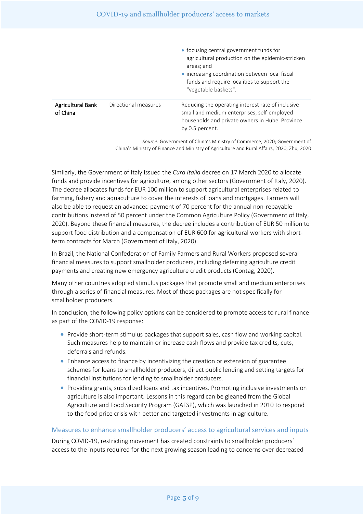|                                      |                      | • focusing central government funds for<br>agricultural production on the epidemic-stricken<br>areas; and<br>• increasing coordination between local fiscal<br>funds and require localities to support the<br>"vegetable baskets". |
|--------------------------------------|----------------------|------------------------------------------------------------------------------------------------------------------------------------------------------------------------------------------------------------------------------------|
| <b>Agricultural Bank</b><br>of China | Directional measures | Reducing the operating interest rate of inclusive<br>small and medium enterprises, self-employed<br>households and private owners in Hubei Province<br>by 0.5 percent.                                                             |

*Source:* Government of China's Ministry of Commerce, 2020; Government of China's Ministry of Finance and Ministry of Agriculture and Rural Affairs, 2020; Zhu, 2020

Similarly, the Government of Italy issued the *Cura Italia* decree on 17 March 2020 to allocate funds and provide incentives for agriculture, among other sectors (Government of Italy, 2020). The decree allocates funds for EUR 100 million to support agricultural enterprises related to farming, fishery and aquaculture to cover the interests of loans and mortgages. Farmers will also be able to request an advanced payment of 70 percent for the annual non-repayable contributions instead of 50 percent under the Common Agriculture Policy (Government of Italy, 2020). Beyond these financial measures, the decree includes a contribution of EUR 50 million to support food distribution and a compensation of EUR 600 for agricultural workers with shortterm contracts for March (Government of Italy, 2020).

In Brazil, the National Confederation of Family Farmers and Rural Workers proposed several financial measures to support smallholder producers, including deferring agriculture credit payments and creating new emergency agriculture credit products (Contag, 2020).

Many other countries adopted stimulus packages that promote small and medium enterprises through a series of financial measures. Most of these packages are not specifically for smallholder producers.

In conclusion, the following policy options can be considered to promote access to rural finance as part of the COVID-19 response:

- Provide short-term stimulus packages that support sales, cash flow and working capital. Such measures help to maintain or increase cash flows and provide tax credits, cuts, deferrals and refunds.
- Enhance access to finance by incentivizing the creation or extension of guarantee schemes for loans to smallholder producers, direct public lending and setting targets for financial institutions for lending to smallholder producers.
- Providing grants, subsidized loans and tax incentives. Promoting inclusive investments on agriculture is also important. Lessons in this regard can be gleaned from the Global Agriculture and Food Security Program (GAFSP), which was launched in 2010 to respond to the food price crisis with better and targeted investments in agriculture.

## Measures to enhance smallholder producers' access to agricultural services and inputs

During COVID-19, restricting movement has created constraints to smallholder producers' access to the inputs required for the next growing season leading to concerns over decreased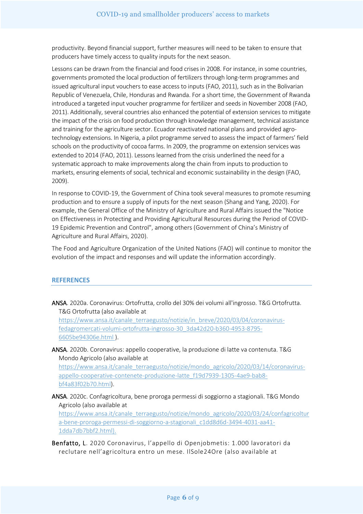productivity. Beyond financial support, further measures will need to be taken to ensure that producers have timely access to quality inputs for the next season.

Lessons can be drawn from the financial and food crises in 2008. For instance, in some countries, governments promoted the local production of fertilizers through long-term programmes and issued agricultural input vouchers to ease access to inputs (FAO, 2011), such as in the Bolivarian Republic of Venezuela, Chile, Honduras and Rwanda. For a short time, the Government of Rwanda introduced a targeted input voucher programme for fertilizer and seeds in November 2008 (FAO, 2011). Additionally, several countries also enhanced the potential of extension services to mitigate the impact of the crisis on food production through knowledge management, technical assistance and training for the agriculture sector. Ecuador reactivated national plans and provided agrotechnology extensions. In Nigeria, a pilot programme served to assess the impact of farmers' field schools on the productivity of cocoa farms. In 2009, the programme on extension services was extended to 2014 (FAO, 2011). Lessons learned from the crisis underlined the need for a systematic approach to make improvements along the chain from inputs to production to markets, ensuring elements of social, technical and economic sustainability in the design (FAO, 2009).

In response to COVID-19, the Government of China took several measures to promote resuming production and to ensure a supply of inputs for the next season (Shang and Yang, 2020). For example, the General Office of the Ministry of Agriculture and Rural Affairs issued the "Notice on Effectiveness in Protecting and Providing Agricultural Resources during the Period of COVID-19 Epidemic Prevention and Control", among others (Government of China's Ministry of Agriculture and Rural Affairs, 2020).

The Food and Agriculture Organization of the United Nations (FAO) will continue to monitor the evolution of the impact and responses and will update the information accordingly.

#### **REFERENCES**

ANSA. 2020a. Coronavirus: Ortofrutta, crollo del 30% dei volumi all'ingrosso. T&G Ortofrutta. T&G Ortofrutta (also available at

[https://www.ansa.it/canale\\_terraegusto/notizie/in\\_breve/2020/03/04/coronavirus](https://www.ansa.it/canale_terraegusto/notizie/in_breve/2020/03/04/coronavirus-fedagromercati-volumi-ortofrutta-ingrosso-30_3da42d20-b360-4953-8795-6605be94306e.html)[fedagromercati-volumi-ortofrutta-ingrosso-30\\_3da42d20-b360-4953-8795-](https://www.ansa.it/canale_terraegusto/notizie/in_breve/2020/03/04/coronavirus-fedagromercati-volumi-ortofrutta-ingrosso-30_3da42d20-b360-4953-8795-6605be94306e.html) [6605be94306e.html](https://www.ansa.it/canale_terraegusto/notizie/in_breve/2020/03/04/coronavirus-fedagromercati-volumi-ortofrutta-ingrosso-30_3da42d20-b360-4953-8795-6605be94306e.html) ).

ANSA. 2020b. Coronavirus: appello cooperative, la produzione di latte va contenuta. T&G Mondo Agricolo (also available at

[https://www.ansa.it/canale\\_terraegusto/notizie/mondo\\_agricolo/2020/03/14/coronavirus](https://www.ansa.it/canale_terraegusto/notizie/mondo_agricolo/2020/03/14/coronavirus-appello-cooperative-contenete-produzione-latte_f19d7939-1305-4ae9-bab8-bf4a83f02b70.html)[appello-cooperative-contenete-produzione-latte\\_f19d7939-1305-4ae9-bab8](https://www.ansa.it/canale_terraegusto/notizie/mondo_agricolo/2020/03/14/coronavirus-appello-cooperative-contenete-produzione-latte_f19d7939-1305-4ae9-bab8-bf4a83f02b70.html) [bf4a83f02b70.html\)](https://www.ansa.it/canale_terraegusto/notizie/mondo_agricolo/2020/03/14/coronavirus-appello-cooperative-contenete-produzione-latte_f19d7939-1305-4ae9-bab8-bf4a83f02b70.html).

ANSA. 2020c. Confagricoltura, bene proroga permessi di soggiorno a stagionali. T&G Mondo Agricolo (also available at

[https://www.ansa.it/canale\\_terraegusto/notizie/mondo\\_agricolo/2020/03/24/confagricoltur](https://www.ansa.it/canale_terraegusto/notizie/mondo_agricolo/2020/03/24/confagricoltura-bene-proroga-permessi-di-soggiorno-a-stagionali_c1dd8d6d-3494-4031-aa41-1dda7db7bbf2.html) [a-bene-proroga-permessi-di-soggiorno-a-stagionali\\_c1dd8d6d-3494-4031-aa41-](https://www.ansa.it/canale_terraegusto/notizie/mondo_agricolo/2020/03/24/confagricoltura-bene-proroga-permessi-di-soggiorno-a-stagionali_c1dd8d6d-3494-4031-aa41-1dda7db7bbf2.html) [1dda7db7bbf2.html\)](https://www.ansa.it/canale_terraegusto/notizie/mondo_agricolo/2020/03/24/confagricoltura-bene-proroga-permessi-di-soggiorno-a-stagionali_c1dd8d6d-3494-4031-aa41-1dda7db7bbf2.html).

Benfatto, L. 2020 Coronavirus, l'appello di Openjobmetis: 1.000 lavoratori da reclutare nell'agricoltura entro un mese. IlSole24Ore (also available at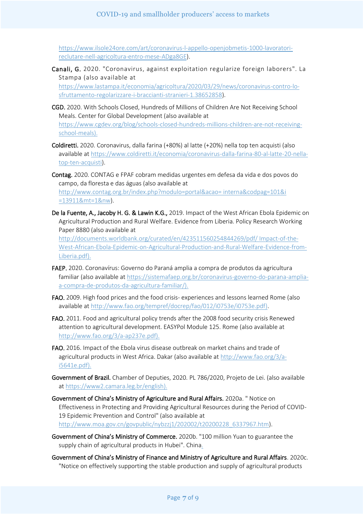[https://www.ilsole24ore.com/art/coronavirus-l-appello-openjobmetis-1000-lavoratori](https://www.ilsole24ore.com/art/coronavirus-l-appello-openjobmetis-1000-lavoratori-reclutare-nell-agricoltura-entro-mese-ADga8GE)[reclutare-nell-agricoltura-entro-mese-ADga8GE\)](https://www.ilsole24ore.com/art/coronavirus-l-appello-openjobmetis-1000-lavoratori-reclutare-nell-agricoltura-entro-mese-ADga8GE).

Canali, G. 2020. "Coronavirus, against exploitation regularize foreign laborers". La Stampa (also available at

[https://www.lastampa.it/economia/agricoltura/2020/03/29/news/coronavirus-contro-lo](https://www.lastampa.it/economia/agricoltura/2020/03/29/news/coronavirus-contro-lo-sfruttamento-regolarizzare-i-braccianti-stranieri-1.38652858)[sfruttamento-regolarizzare-i-braccianti-stranieri-1.38652858\)](https://www.lastampa.it/economia/agricoltura/2020/03/29/news/coronavirus-contro-lo-sfruttamento-regolarizzare-i-braccianti-stranieri-1.38652858).

- CGD. 2020. With Schools Closed, Hundreds of Millions of Children Are Not Receiving School Meals. Center for Global Development (also available at [https://www.cgdev.org/blog/schools-closed-hundreds-millions-children-are-not-receiving](https://www.cgdev.org/blog/schools-closed-hundreds-millions-children-are-not-receiving-school-meals)[school-meals\)](https://www.cgdev.org/blog/schools-closed-hundreds-millions-children-are-not-receiving-school-meals).
- Coldiretti. 2020. Coronavirus, dalla farina (+80%) al latte (+20%) nella top ten acquisti (also available at [https://www.coldiretti.it/economia/coronavirus-dalla-farina-80-al-latte-20-nella](https://www.coldiretti.it/economia/coronavirus-dalla-farina-80-al-latte-20-nella-top-ten-acquisti)[top-ten-acquisti\)](https://www.coldiretti.it/economia/coronavirus-dalla-farina-80-al-latte-20-nella-top-ten-acquisti).
- Contag. 2020. CONTAG e FPAF cobram medidas urgentes em defesa da vida e dos povos do campo, da floresta e das águas (also available at [http://www.contag.org.br/index.php?modulo=portal&acao= interna&codpag=101&i](http://www.contag.org.br/index.php?modulo=portal&acao=%20interna&codpag=101&i%20=13911&mt=1&nw)  [=13911&mt=1&nw\)](http://www.contag.org.br/index.php?modulo=portal&acao=%20interna&codpag=101&i%20=13911&mt=1&nw).
- De la Fuente, A., Jacoby H. G. & Lawin K.G., 2019. Impact of the West African Ebola Epidemic on Agricultural Production and Rural Welfare. Evidence from Liberia. Policy Research Working Paper 8880 (also available at [http://documents.worldbank.org/curated/en/423511560254844269/pdf/ Impact-of-the-](http://documents.worldbank.org/curated/en/423511560254844269/pdf/%20Impact-of-the-West-African-Ebola-Epidemic-on-Agricultural-Production-and-Rural-Welfare-Evidence-from-Liberia.pdf)

[West-African-Ebola-Epidemic-on-Agricultural-Production-and-Rural-Welfare-Evidence-from-](http://documents.worldbank.org/curated/en/423511560254844269/pdf/%20Impact-of-the-West-African-Ebola-Epidemic-on-Agricultural-Production-and-Rural-Welfare-Evidence-from-Liberia.pdf)[Liberia.pdf\)](http://documents.worldbank.org/curated/en/423511560254844269/pdf/%20Impact-of-the-West-African-Ebola-Epidemic-on-Agricultural-Production-and-Rural-Welfare-Evidence-from-Liberia.pdf).

- FAEP. 2020. Coronavírus: Governo do Paraná amplia a compra de produtos da agricultura familiar (also available at [https://sistemafaep.org.br/coronavirus-governo-do-parana-amplia](https://sistemafaep.org.br/coronavirus-governo-do-parana-amplia-a-compra-de-produtos-da-agricultura-familiar/)[a-compra-de-produtos-da-agricultura-familiar/\)](https://sistemafaep.org.br/coronavirus-governo-do-parana-amplia-a-compra-de-produtos-da-agricultura-familiar/).
- FAO. 2009. High food prices and the food crisis- experiences and lessons learned Rome (also available at [http://www.fao.org/tempref/docrep/fao/012/i0753e/i0753e.pdf\)](http://www.fao.org/tempref/docrep/fao/012/i0753e/i0753e.pdf).
- FAO. 2011. Food and agricultural policy trends after the 2008 food security crisis Renewed attention to agricultural development. EASYPol Module 125. Rome (also available at [http://www.fao.org/3/a-ap237e.pdf\)](http://www.fao.org/3/a-ap237e.pdf).
- FAO. 2016. Impact of the Ebola virus disease outbreak on market chains and trade of agricultural products in West Africa. Dakar (also available a[t http://www.fao.org/3/a](http://www.fao.org/3/a-i5641e.pdf)[i5641e.pdf\)](http://www.fao.org/3/a-i5641e.pdf).
- Government of Brazil. Chamber of Deputies, 2020. PL 786/2020, Projeto de Lei. (also available a[t https://www2.camara.leg.br/english\)](https://www2.camara.leg.br/english).
- Government of China's Ministry of Agriculture and Rural Affairs. 2020a. " Notice on Effectiveness in Protecting and Providing Agricultural Resources during the Period of COVID-19 Epidemic Prevention and Control" (also available at [http://www.moa.gov.cn/govpublic/nybzzj1/202002/t20200228\\_6337967.htm\)](http://www.moa.gov.cn/govpublic/nybzzj1/202002/t20200228_6337967.htm).
- Government of China's Ministry of Commerce. 2020b. "100 million Yuan to guarantee the supply chain of agricultural products in Hubei". China.
- Government of China's Ministry of Finance and Ministry of Agriculture and Rural Affairs. 2020c. "Notice on effectively supporting the stable production and supply of agricultural products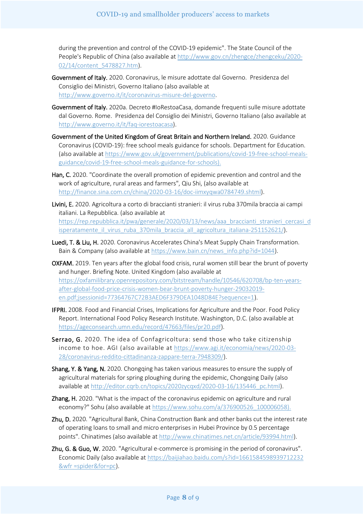during the prevention and control of the COVID-19 epidemic". The State Council of the People's Republic of China (also available at [http://www.gov.cn/zhengce/zhengceku/2020-](http://www.gov.cn/zhengce/zhengceku/2020-02/14/content_5478827.htm) [02/14/content\\_5478827.htm\)](http://www.gov.cn/zhengce/zhengceku/2020-02/14/content_5478827.htm).

- Government of Italy. 2020. Coronavirus, le misure adottate dal Governo. Presidenza del Consiglio dei Ministri, Governo Italiano (also available at [http://www.governo.it/it/coronavirus-misure-del-governo.](http://www.governo.it/it/coronavirus-misure-del-governo)
- Government of Italy. 2020a. Decreto #IoRestoaCasa, domande frequenti sulle misure adottate dal Governo. Rome. Presidenza del Consiglio dei Ministri, Governo Italiano (also available at [http://www.governo.it/it/faq-iorestoacasa\)](http://www.governo.it/it/faq-iorestoacasa).
- Government of the United Kingdom of Great Britain and Northern Ireland. 2020. Guidance Coronavirus (COVID-19): free school meals guidance for schools. Department for Education. (also available at [https://www.gov.uk/government/publications/covid-19-free-school-meals](https://www.gov.uk/government/publications/covid-19-free-school-meals-guidance/covid-19-free-school-meals-guidance-for-schools)[guidance/covid-19-free-school-meals-guidance-for-schools\)](https://www.gov.uk/government/publications/covid-19-free-school-meals-guidance/covid-19-free-school-meals-guidance-for-schools).
- Han, C. 2020. "Coordinate the overall promotion of epidemic prevention and control and the work of agriculture, rural areas and farmers", Qiu Shi, (also available at [http://finance.sina.com.cn/china/2020-03-16/doc-iimxyqwa0784749.shtml\)](http://finance.sina.com.cn/china/2020-03-16/doc-iimxyqwa0784749.shtml).
- Livini, E. 2020. Agricoltura a corto di braccianti stranieri: il virus ruba 370mila braccia ai campi italiani. La Repubblica. (also available at [https://rep.repubblica.it/pwa/generale/2020/03/13/news/aaa\\_braccianti\\_stranieri\\_cercasi\\_d](https://rep.repubblica.it/pwa/generale/2020/03/13/news/aaa_braccianti_stranieri_cercasi_disperatamente_il_virus_ruba_370mila_braccia_all_agricoltura_italiana-251152621/) isperatamente il virus ruba 370mila braccia all agricoltura italiana-251152621/).
- Luedi, T. & Liu, H. 2020. Coronavirus Accelerates China's Meat Supply Chain Transformation. Bain & Company (also available at [https://www.bain.cn/news\\_info.php?id=1044\)](https://www.bain.cn/news_info.php?id=1044).
- OXFAM. 2019. Ten years after the global food crisis, rural women still bear the brunt of poverty and hunger. Briefing Note. United Kingdom (also available at [https://oxfamilibrary.openrepository.com/bitstream/handle/10546/620708/bp-ten-years](https://oxfamilibrary.openrepository.com/bitstream/handle/10546/620708/bp-ten-years-after-global-food-price-crisis-women-bear-brunt-poverty-hunger-29032019-en.pdf;jsessionid=77364767C72B3AED6F379DEA1048D84E?sequence=1)[after-global-food-price-crisis-women-bear-brunt-poverty-hunger-29032019](https://oxfamilibrary.openrepository.com/bitstream/handle/10546/620708/bp-ten-years-after-global-food-price-crisis-women-bear-brunt-poverty-hunger-29032019-en.pdf;jsessionid=77364767C72B3AED6F379DEA1048D84E?sequence=1) [en.pdf;jsessionid=77364767C72B3AED6F379DEA1048D84E?sequence=1\)](https://oxfamilibrary.openrepository.com/bitstream/handle/10546/620708/bp-ten-years-after-global-food-price-crisis-women-bear-brunt-poverty-hunger-29032019-en.pdf;jsessionid=77364767C72B3AED6F379DEA1048D84E?sequence=1).
- IFPRI. 2008. Food and Financial Crises, Implications for Agriculture and the Poor. Food Policy Report. International Food Policy Research Institute. Washington, D.C. (also available at [https://ageconsearch.umn.edu/record/47663/files/pr20.pdf\)](https://ageconsearch.umn.edu/record/47663/files/pr20.pdf).
- Serrao, G. 2020. The idea of Confagricoltura: send those who take citizenship income to hoe. AGI (also available at [https://www.agi.it/economia/news/2020-03-](https://www.agi.it/economia/news/2020-03-28/coronavirus-reddito-cittadinanza-zappare-terra-7948309/) [28/coronavirus-reddito-cittadinanza-zappare-terra-7948309/\)](https://www.agi.it/economia/news/2020-03-28/coronavirus-reddito-cittadinanza-zappare-terra-7948309/).
- Shang, Y. & Yang, N. 2020. Chongqing has taken various measures to ensure the supply of agricultural materials for spring ploughing during the epidemic, Chongqing Daily (also available at [http://editor.cqrb.cn/topics/2020zycqxd/2020-03-16/135446\\_pc.html\)](http://editor.cqrb.cn/topics/2020zycqxd/2020-03-16/135446_pc.html).
- Zhang, H. 2020. "What is the impact of the coronavirus epidemic on agriculture and rural economy?" Sohu (also available a[t https://www.sohu.com/a/376900526\\_100006058\)](https://www.sohu.com/a/376900526_100006058).
- Zhu, D. 2020. "Agricultural Bank, China Construction Bank and other banks cut the interest rate of operating loans to small and micro enterprises in Hubei Province by 0.5 percentage points". Chinatimes (also available at [http://www.chinatimes.net.cn/article/93994.html\)](http://www.chinatimes.net.cn/article/93994.html).
- Zhu, G. & Guo, W. 2020. "Agricultural e-commerce is promising in the period of coronavirus". Economic Daily (also available at [https://baijiahao.baidu.com/s?id=1661584598939712232](https://baijiahao.baidu.com/s?id=1661584598939712232%20&wfr%20=spider&for=pc)  [&wfr =spider&for=pc\)](https://baijiahao.baidu.com/s?id=1661584598939712232%20&wfr%20=spider&for=pc).